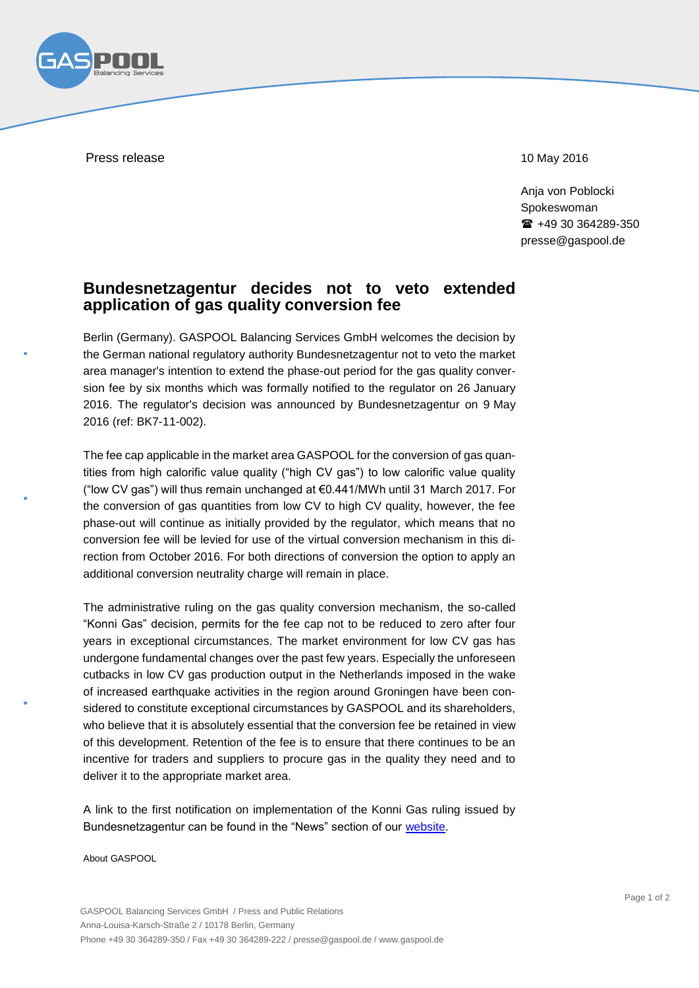

Press release 2016 and 2016 and 2016 and 2016 and 2016 and 2016 and 2016 and 2016 and 2016 and 2016 and 2016 and 2016 and 2016 and 2016 and 2016 and 2016 and 2016 and 2017 and 2017 and 2017 and 2017 and 2017 and 2017 and 2

Anja von Poblocki Spokeswoman +49 30 364289-350 presse@gaspool.de

## **Bundesnetzagentur decides not to veto extended application of gas quality conversion fee**

Berlin (Germany). GASPOOL Balancing Services GmbH welcomes the decision by the German national regulatory authority Bundesnetzagentur not to veto the market area manager's intention to extend the phase-out period for the gas quality conversion fee by six months which was formally notified to the regulator on 26 January 2016. The regulator's decision was announced by Bundesnetzagentur on 9 May 2016 (ref: BK7-11-002).

The fee cap applicable in the market area GASPOOL for the conversion of gas quantities from high calorific value quality ("high CV gas") to low calorific value quality ("low CV gas") will thus remain unchanged at €0.441/MWh until 31 March 2017. For the conversion of gas quantities from low CV to high CV quality, however, the fee phase-out will continue as initially provided by the regulator, which means that no conversion fee will be levied for use of the virtual conversion mechanism in this direction from October 2016. For both directions of conversion the option to apply an additional conversion neutrality charge will remain in place.

The administrative ruling on the gas quality conversion mechanism, the so-called "Konni Gas" decision, permits for the fee cap not to be reduced to zero after four years in exceptional circumstances. The market environment for low CV gas has undergone fundamental changes over the past few years. Especially the unforeseen cutbacks in low CV gas production output in the Netherlands imposed in the wake of increased earthquake activities in the region around Groningen have been considered to constitute exceptional circumstances by GASPOOL and its shareholders, who believe that it is absolutely essential that the conversion fee be retained in view of this development. Retention of the fee is to ensure that there continues to be an incentive for traders and suppliers to procure gas in the quality they need and to deliver it to the appropriate market area.

A link to the first notification on implementation of the Konni Gas ruling issued by Bundesnetzagentur can be found in the "News" section of our [website.](http://www.gaspool.de/index.php?id=aktuelles)

About GASPOOL